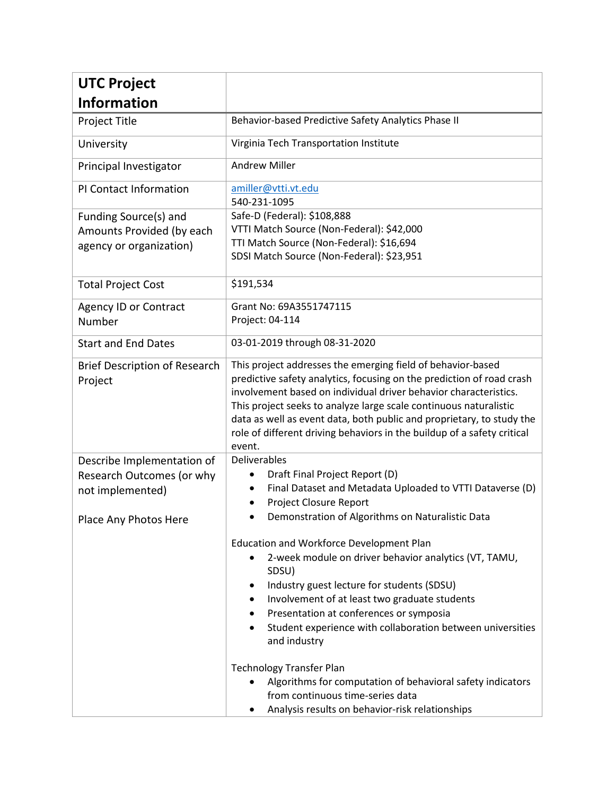| <b>UTC Project</b>                                                                                   |                                                                                                                                                                                                                                                                                                                                                                                                                                                                                                                                                                         |
|------------------------------------------------------------------------------------------------------|-------------------------------------------------------------------------------------------------------------------------------------------------------------------------------------------------------------------------------------------------------------------------------------------------------------------------------------------------------------------------------------------------------------------------------------------------------------------------------------------------------------------------------------------------------------------------|
| <b>Information</b>                                                                                   |                                                                                                                                                                                                                                                                                                                                                                                                                                                                                                                                                                         |
| Project Title                                                                                        | Behavior-based Predictive Safety Analytics Phase II                                                                                                                                                                                                                                                                                                                                                                                                                                                                                                                     |
| University                                                                                           | Virginia Tech Transportation Institute                                                                                                                                                                                                                                                                                                                                                                                                                                                                                                                                  |
| Principal Investigator                                                                               | <b>Andrew Miller</b>                                                                                                                                                                                                                                                                                                                                                                                                                                                                                                                                                    |
| PI Contact Information                                                                               | amiller@vtti.vt.edu<br>540-231-1095                                                                                                                                                                                                                                                                                                                                                                                                                                                                                                                                     |
| Funding Source(s) and<br>Amounts Provided (by each<br>agency or organization)                        | Safe-D (Federal): \$108,888<br>VTTI Match Source (Non-Federal): \$42,000<br>TTI Match Source (Non-Federal): \$16,694<br>SDSI Match Source (Non-Federal): \$23,951                                                                                                                                                                                                                                                                                                                                                                                                       |
| <b>Total Project Cost</b>                                                                            | \$191,534                                                                                                                                                                                                                                                                                                                                                                                                                                                                                                                                                               |
| <b>Agency ID or Contract</b><br>Number                                                               | Grant No: 69A3551747115<br>Project: 04-114                                                                                                                                                                                                                                                                                                                                                                                                                                                                                                                              |
| <b>Start and End Dates</b>                                                                           | 03-01-2019 through 08-31-2020                                                                                                                                                                                                                                                                                                                                                                                                                                                                                                                                           |
| <b>Brief Description of Research</b><br>Project                                                      | This project addresses the emerging field of behavior-based<br>predictive safety analytics, focusing on the prediction of road crash<br>involvement based on individual driver behavior characteristics.<br>This project seeks to analyze large scale continuous naturalistic<br>data as well as event data, both public and proprietary, to study the<br>role of different driving behaviors in the buildup of a safety critical<br>event.                                                                                                                             |
| Describe Implementation of<br>Research Outcomes (or why<br>not implemented)<br>Place Any Photos Here | Deliverables<br>Draft Final Project Report (D)<br>Final Dataset and Metadata Uploaded to VTTI Dataverse (D)<br>Project Closure Report<br>Demonstration of Algorithms on Naturalistic Data<br>Education and Workforce Development Plan<br>2-week module on driver behavior analytics (VT, TAMU,<br>SDSU)<br>Industry guest lecture for students (SDSU)<br>٠<br>Involvement of at least two graduate students<br>Presentation at conferences or symposia<br>Student experience with collaboration between universities<br>and industry<br><b>Technology Transfer Plan</b> |
|                                                                                                      | Algorithms for computation of behavioral safety indicators<br>$\bullet$<br>from continuous time-series data<br>Analysis results on behavior-risk relationships                                                                                                                                                                                                                                                                                                                                                                                                          |